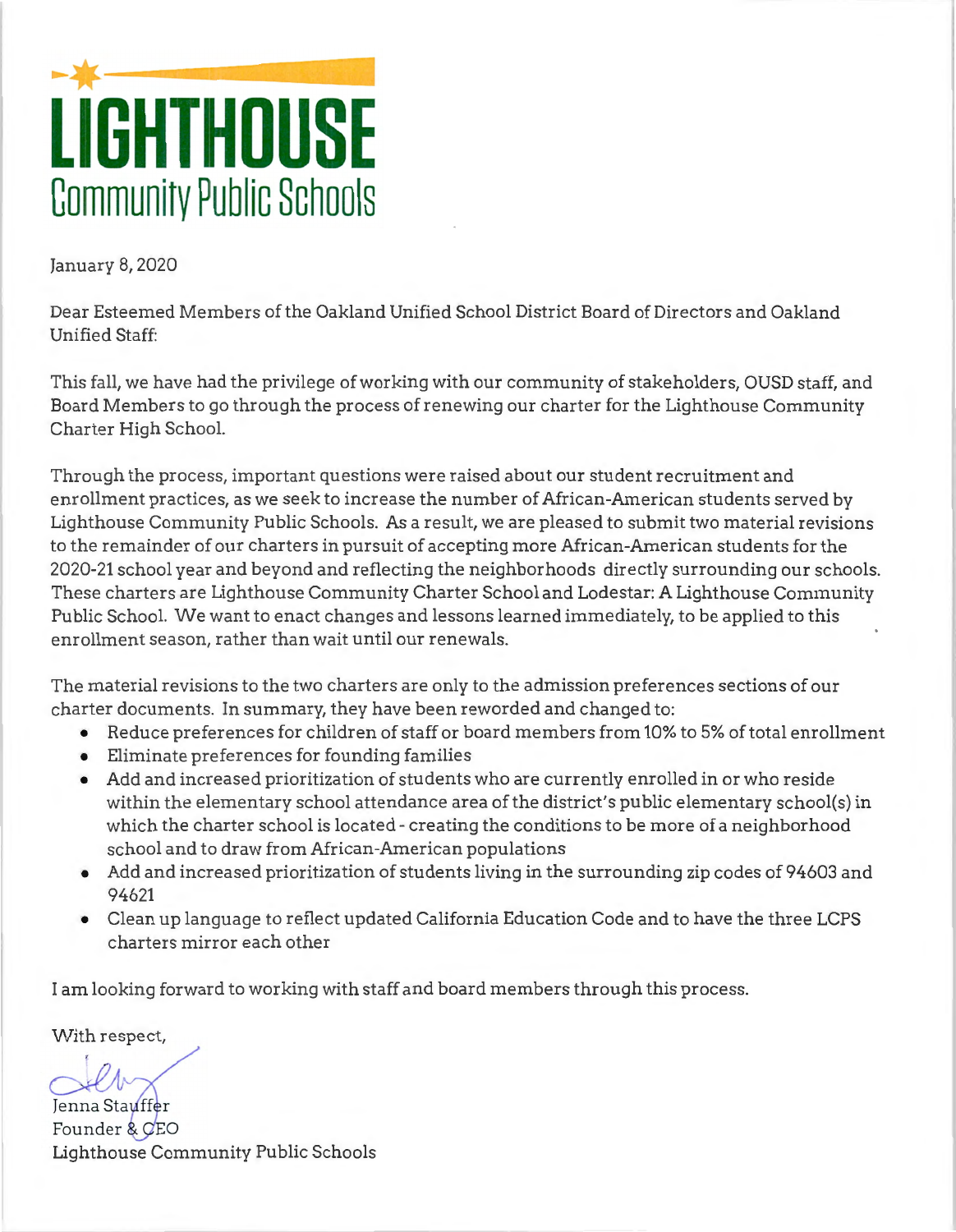# ►-**LIGHTHOUSE Community Public Schools**

January 8, 2020

Dear Esteemed Members of the Oakland Unified School District Board of Directors and Oakland Unified Staff:

This fall, we have had the privilege of working with our community of stakeholders, OUSD staff, and Board Members to go through the process of renewing our charter for the Lighthouse Community Charter High School.

Through the process, important questions were raised about our student recruitment and enrollment practices, as we seek to increase the number of African-American students served by Lighthouse Community Public Schools. As a result, we are pleased to submit two material revisions to the remainder of our charters in pursuit of accepting more African-American students for the 2020-21 school year and beyond and reflecting the neighborhoods directly surrounding our schools. These charters are Lighthouse Community Charter School and Lodestar: A Lighthouse Community Public School. We want to enact changes and lessons learned immediately, to be applied to this enrollment season, rather than wait until our renewals.

The material revisions to the two charters are only to the admission preferences sections of our charter documents. In summary, they have been reworded and changed to:

- Reduce preferences for children of staff or board members from 10% to 5% of total enrollment
- Eliminate preferences for founding families
- Add and increased prioritization of students who are currently enrolled in or who reside within the elementary school attendance area of the district's public elementary school(s) in which the charter school is located - creating the conditions to be more of a neighborhood school and to draw from African-American populations
- Add and increased prioritization of students living in the surrounding zip codes of 94603 and 94621
- Clean up language to reflect updated California Education Code and to have the three LCPS charters mirror each other

I am looking forward to working with staff and board members through this process.

With respect,

Jenna Stauffer Founder & CEO Lighthouse Community Public Schools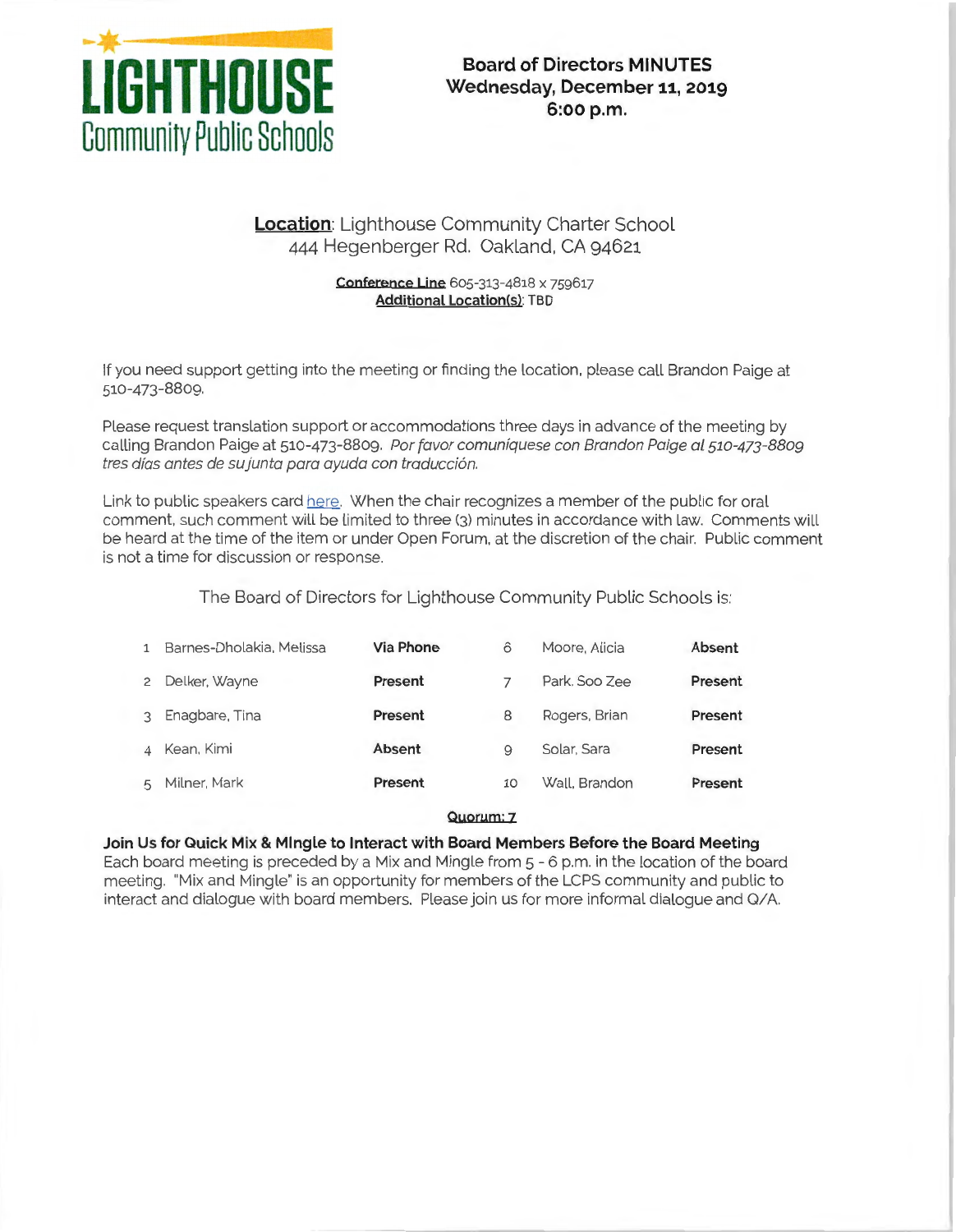

# **Wednesday, December 11, 2019 6:oo p.m.**

## **Location:** Lighthouse Community Charter School 444 Hegenberger Rd. Oakland, CA 94621

#### **Conference Line** 605-313-4818 x 759617 **Additional Location(s):** TBD

If you need support getting into the meeting or finding the location. please call Brandon Paige at 510-473-8809.

Please request translation support or accommodations three days in advance of the meeting by calling Brandon Paige at 510-473-8809. Por favor comuniquese con Brandon Paige al 510-473-8809 tres días antes de su junta para ayuda con traducción.

Link to public speakers card here. When the chair recognizes a member of the public for oral comment. such comment will be limited to three (3) minutes in accordance with law. Comments will be heard at the time of the item or under Open Forum, at the discretion of the chair. Public comment is not a time for discussion or response.

The Board of Directors for Lighthouse Community Public Schools is:

| Barnes-Dholakia, Melissa | Via Phone | 6  | Moore, Alicia | Absent  |
|--------------------------|-----------|----|---------------|---------|
| Delker, Wayne            | Present   |    | Park, Soo Zee | Present |
| Enagbare, Tina           | Present   | 8  | Rogers, Brian | Present |
| Kean, Kimi               | Absent    | 9  | Solar, Sara   | Present |
| Milner, Mark             | Present   | 10 | Wall, Brandon | Present |
|                          |           |    |               |         |

#### **Quorum: z**

#### **Join Us for Quick Mix & Mingle to Interact with Board Members Before the Board Meeting**

Each board meeting is preceded by a Mix and Mingle from 5 - 6 p.m. in the location of the board meeting. "Mix and Mingle" is an opportunity for members of the LCPS community and public to interact and dialogue with board members. Please join us for more informal dialogue and 0/A.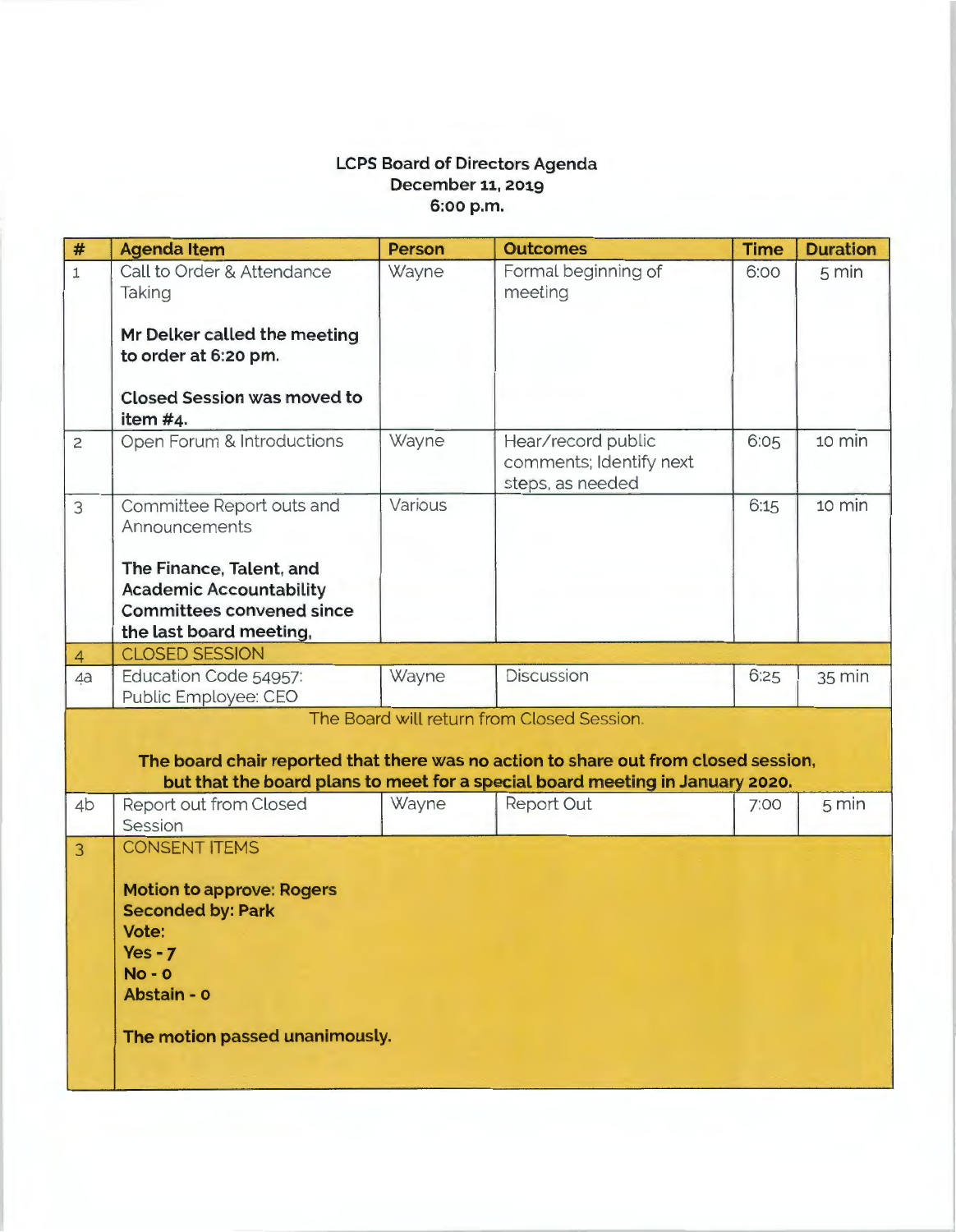### **LCPS Board of Directors Agenda December 11, 2019 6:oo p.m.**

| $\#$                                                                                                                                                                                                               | <b>Agenda Item</b>                                                                                                                                                      | Person  | <b>Outcomes</b>                                                   | <b>Time</b> | <b>Duration</b> |  |  |
|--------------------------------------------------------------------------------------------------------------------------------------------------------------------------------------------------------------------|-------------------------------------------------------------------------------------------------------------------------------------------------------------------------|---------|-------------------------------------------------------------------|-------------|-----------------|--|--|
| $\overline{1}$                                                                                                                                                                                                     | Call to Order & Attendance<br>Taking                                                                                                                                    | Wayne   | Formal beginning of<br>meeting                                    | 6:00        | $5 \text{ min}$ |  |  |
|                                                                                                                                                                                                                    | Mr Delker called the meeting<br>to order at 6:20 pm.                                                                                                                    |         |                                                                   |             |                 |  |  |
|                                                                                                                                                                                                                    | <b>Closed Session was moved to</b><br>item #4.                                                                                                                          |         |                                                                   |             |                 |  |  |
| $\overline{c}$                                                                                                                                                                                                     | Open Forum & Introductions                                                                                                                                              | Wayne   | Hear/record public<br>comments; Identify next<br>steps, as needed | 6:05        | 10 min          |  |  |
| 3                                                                                                                                                                                                                  | Committee Report outs and<br>Announcements                                                                                                                              | Various |                                                                   | 6:15        | 10 min          |  |  |
|                                                                                                                                                                                                                    | The Finance, Talent, and<br><b>Academic Accountability</b><br><b>Committees convened since</b><br>the last board meeting,                                               |         |                                                                   |             |                 |  |  |
| $\overline{4}$                                                                                                                                                                                                     | <b>CLOSED SESSION</b>                                                                                                                                                   |         |                                                                   |             |                 |  |  |
| 4a                                                                                                                                                                                                                 | Education Code 54957:<br>Public Employee: CEO                                                                                                                           | Wayne   | <b>Discussion</b>                                                 | 6:25        | 35 min          |  |  |
| The Board will return from Closed Session.<br>The board chair reported that there was no action to share out from closed session,<br>but that the board plans to meet for a special board meeting in January 2020. |                                                                                                                                                                         |         |                                                                   |             |                 |  |  |
| 4 <sub>b</sub>                                                                                                                                                                                                     | Report out from Closed<br>Session                                                                                                                                       | Wayne   | Report Out                                                        | 7:00        | $5 \text{ min}$ |  |  |
| $\overline{3}$                                                                                                                                                                                                     | <b>CONSENT ITEMS</b><br><b>Motion to approve: Rogers</b><br><b>Seconded by: Park</b><br>Vote:<br>$Yes - 7$<br>$No - O$<br>Abstain - 0<br>The motion passed unanimously. |         |                                                                   |             |                 |  |  |
|                                                                                                                                                                                                                    |                                                                                                                                                                         |         |                                                                   |             |                 |  |  |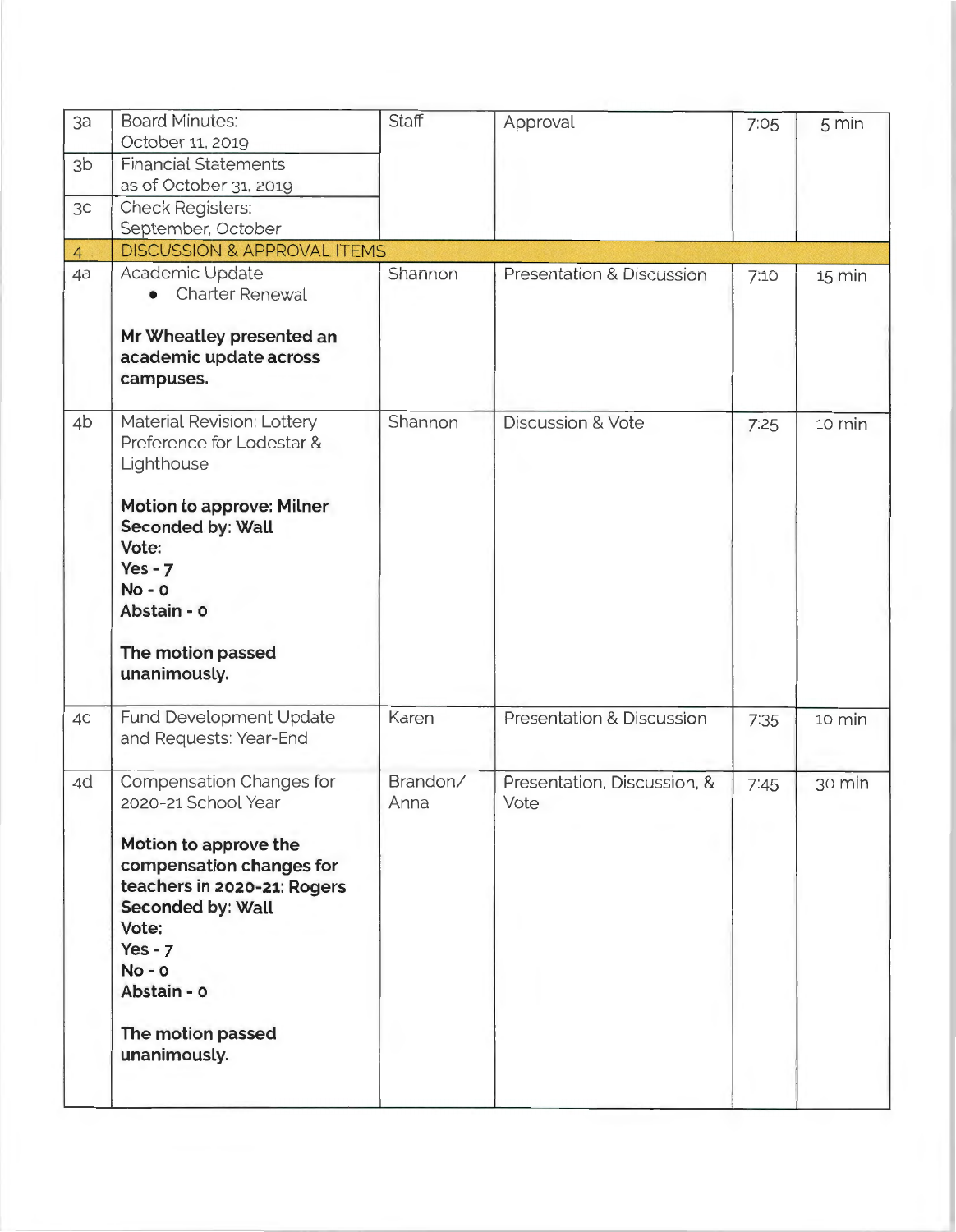| 3a             | <b>Board Minutes:</b><br>October 11, 2019                                                                                                                                                                                                      | <b>Staff</b>     | Approval                            | 7.05 | 5 min  |
|----------------|------------------------------------------------------------------------------------------------------------------------------------------------------------------------------------------------------------------------------------------------|------------------|-------------------------------------|------|--------|
| 3 <sub>b</sub> | <b>Financial Statements</b><br>as of October 31, 2019                                                                                                                                                                                          |                  |                                     |      |        |
| 3c             | <b>Check Registers:</b><br>September, October                                                                                                                                                                                                  |                  |                                     |      |        |
| $\overline{4}$ | <b>DISCUSSION &amp; APPROVAL ITEMS</b>                                                                                                                                                                                                         |                  |                                     |      |        |
| 4a             | Academic Update<br><b>Charter Renewal</b>                                                                                                                                                                                                      | Shannon          | Presentation & Discussion           | 7:10 | 15 min |
|                | Mr Wheatley presented an<br>academic update across<br>campuses.                                                                                                                                                                                |                  |                                     |      |        |
| 4b             | Material Revision: Lottery<br>Preference for Lodestar &<br>Lighthouse                                                                                                                                                                          | Shannon          | <b>Discussion &amp; Vote</b>        | 7:25 | 10 min |
|                | Motion to approve: Milner<br><b>Seconded by: Wall</b><br>Vote:<br>$Yes - 7$<br>$No - O$<br>Abstain - o                                                                                                                                         |                  |                                     |      |        |
|                | The motion passed<br>unanimously.                                                                                                                                                                                                              |                  |                                     |      |        |
| 4C             | Fund Development Update<br>and Requests: Year-End                                                                                                                                                                                              | Karen            | Presentation & Discussion           | 7:35 | 10 min |
| 4d             | Compensation Changes for<br>2020-21 School Year<br>Motion to approve the<br>compensation changes for<br>teachers in 2020-21: Rogers<br>Seconded by: Wall<br>Vote:<br>$Yes - 7$<br>$No - O$<br>Abstain - o<br>The motion passed<br>unanimously. | Brandon/<br>Anna | Presentation, Discussion, &<br>Vote | 7:45 | 30 min |